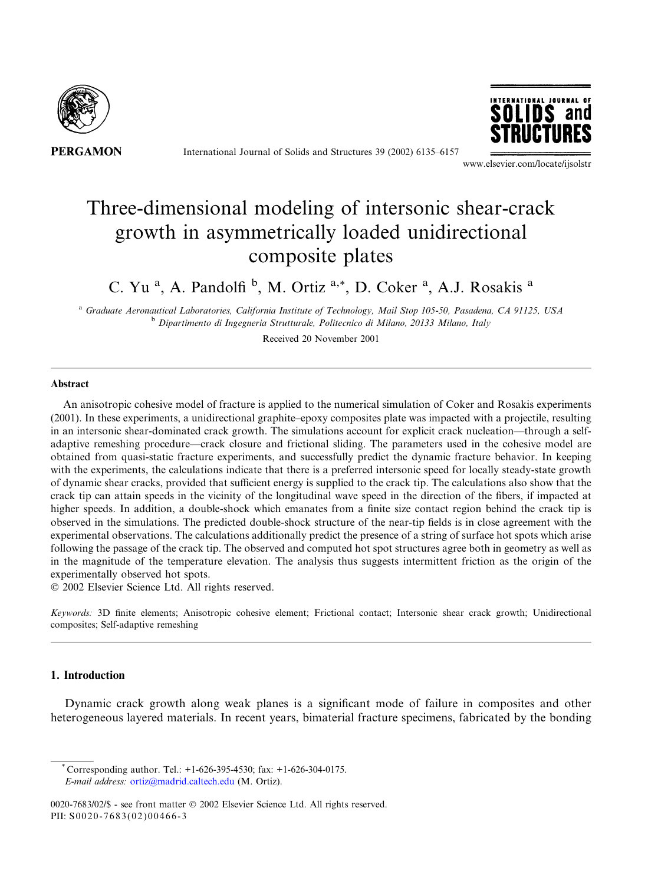

International Journal of Solids and Structures 39 (2002) 6135–6157



www.elsevier.com/locate/ijsolstr

# Three-dimensional modeling of intersonic shear-crack growth in asymmetrically loaded unidirectional composite plates

C. Yu<sup>a</sup>, A. Pandolfi<sup>b</sup>, M. Ortiz<sup>a,\*</sup>, D. Coker<sup>a</sup>, A.J. Rosakis<sup>a</sup>

a Graduate Aeronautical Laboratories, California Institute of Technology, Mail Stop 105-50, Pasadena, CA 91125, USA <sup>b</sup> Dipartimento di Ingegneria Strutturale, Politecnico di Milano, 20133 Milano, Italy

Received 20 November 2001

## Abstract

An anisotropic cohesive model of fracture is applied to the numerical simulation of Coker and Rosakis experiments (2001). In these experiments, a unidirectional graphite–epoxy composites plate was impacted with a projectile, resulting in an intersonic shear-dominated crack growth. The simulations account for explicit crack nucleation––through a selfadaptive remeshing procedure––crack closure and frictional sliding. The parameters used in the cohesive model are obtained from quasi-static fracture experiments, and successfully predict the dynamic fracture behavior. In keeping with the experiments, the calculations indicate that there is a preferred intersonic speed for locally steady-state growth of dynamic shear cracks, provided that sufficient energy is supplied to the crack tip. The calculations also show that the crack tip can attain speeds in the vicinity of the longitudinal wave speed in the direction of the fibers, if impacted at higher speeds. In addition, a double-shock which emanates from a finite size contact region behind the crack tip is observed in the simulations. The predicted double-shock structure of the near-tip fields is in close agreement with the experimental observations. The calculations additionally predict the presence of a string of surface hot spots which arise following the passage of the crack tip. The observed and computed hot spot structures agree both in geometry as well as in the magnitude of the temperature elevation. The analysis thus suggests intermittent friction as the origin of the experimentally observed hot spots.

2002 Elsevier Science Ltd. All rights reserved.

Keywords: 3D finite elements; Anisotropic cohesive element; Frictional contact; Intersonic shear crack growth; Unidirectional composites; Self-adaptive remeshing

#### 1. Introduction

Dynamic crack growth along weak planes is a significant mode of failure in composites and other heterogeneous layered materials. In recent years, bimaterial fracture specimens, fabricated by the bonding

 $^{\circ}$  Corresponding author. Tel.: +1-626-395-4530; fax: +1-626-304-0175. E-mail address: [ortiz@madrid.caltech.edu](mail to: ortiz@madrid.caltech.edu) (M. Ortiz).

0020-7683/02/\$ - see front matter © 2002 Elsevier Science Ltd. All rights reserved. PII: S0020-7683(02)00466-3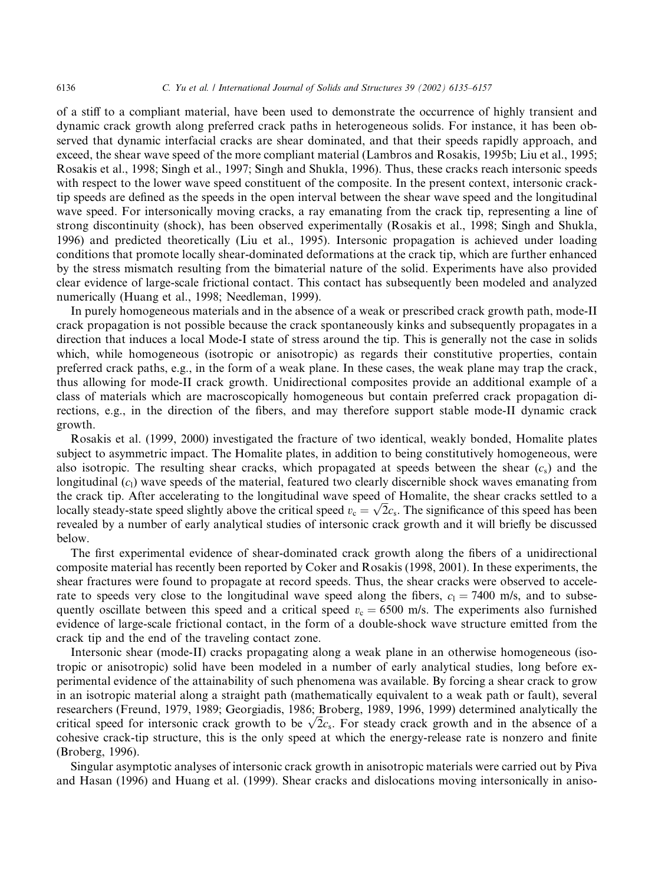of a stiff to a compliant material, have been used to demonstrate the occurrence of highly transient and dynamic crack growth along preferred crack paths in heterogeneous solids. For instance, it has been observed that dynamic interfacial cracks are shear dominated, and that their speeds rapidly approach, and exceed, the shear wave speed of the more compliant material (Lambros and Rosakis, 1995b; Liu et al., 1995; Rosakis et al., 1998; Singh et al., 1997; Singh and Shukla, 1996). Thus, these cracks reach intersonic speeds with respect to the lower wave speed constituent of the composite. In the present context, intersonic cracktip speeds are defined as the speeds in the open interval between the shear wave speed and the longitudinal wave speed. For intersonically moving cracks, a ray emanating from the crack tip, representing a line of strong discontinuity (shock), has been observed experimentally (Rosakis et al., 1998; Singh and Shukla, 1996) and predicted theoretically (Liu et al., 1995). Intersonic propagation is achieved under loading conditions that promote locally shear-dominated deformations at the crack tip, which are further enhanced by the stress mismatch resulting from the bimaterial nature of the solid. Experiments have also provided clear evidence of large-scale frictional contact. This contact has subsequently been modeled and analyzed numerically (Huang et al., 1998; Needleman, 1999).

In purely homogeneous materials and in the absence of a weak or prescribed crack growth path, mode-II crack propagation is not possible because the crack spontaneously kinks and subsequently propagates in a direction that induces a local Mode-I state of stress around the tip. This is generally not the case in solids which, while homogeneous (isotropic or anisotropic) as regards their constitutive properties, contain preferred crack paths, e.g., in the form of a weak plane. In these cases, the weak plane may trap the crack, thus allowing for mode-II crack growth. Unidirectional composites provide an additional example of a class of materials which are macroscopically homogeneous but contain preferred crack propagation directions, e.g., in the direction of the fibers, and may therefore support stable mode-II dynamic crack growth.

Rosakis et al. (1999, 2000) investigated the fracture of two identical, weakly bonded, Homalite plates subject to asymmetric impact. The Homalite plates, in addition to being constitutively homogeneous, were also isotropic. The resulting shear cracks, which propagated at speeds between the shear  $(c<sub>s</sub>)$  and the longitudinal  $(c<sub>1</sub>)$  wave speeds of the material, featured two clearly discernible shock waves emanating from the crack tip. After accelerating to the longitudinal wave speed of Homalite, the shear cracks settled to a the crack up. After accelerating to the fongitudinal wave speed of Homanie, the shear cracks settled to a locally steady-state speed slightly above the critical speed  $v_c = \sqrt{2}c_s$ . The significance of this speed has been revealed by a number of early analytical studies of intersonic crack growth and it will briefly be discussed below.

The first experimental evidence of shear-dominated crack growth along the fibers of a unidirectional composite material has recently been reported by Coker and Rosakis (1998, 2001). In these experiments, the shear fractures were found to propagate at record speeds. Thus, the shear cracks were observed to accelerate to speeds very close to the longitudinal wave speed along the fibers,  $c_1 = 7400$  m/s, and to subsequently oscillate between this speed and a critical speed  $v<sub>c</sub> = 6500$  m/s. The experiments also furnished evidence of large-scale frictional contact, in the form of a double-shock wave structure emitted from the crack tip and the end of the traveling contact zone.

Intersonic shear (mode-II) cracks propagating along a weak plane in an otherwise homogeneous (isotropic or anisotropic) solid have been modeled in a number of early analytical studies, long before experimental evidence of the attainability of such phenomena was available. By forcing a shear crack to grow in an isotropic material along a straight path (mathematically equivalent to a weak path or fault), several researchers (Freund, 1979, 1989; Georgiadis, 1986; Broberg, 1989, 1996, 1999) determined analytically the researchers (Freund, 1979, 1989; Georgiadis, 1986; Broberg, 1989, 1990, 1999) determined analytically the critical speed for intersonic crack growth to be  $\sqrt{2}c_s$ . For steady crack growth and in the absence of a cohesive crack-tip structure, this is the only speed at which the energy-release rate is nonzero and finite (Broberg, 1996).

Singular asymptotic analyses of intersonic crack growth in anisotropic materials were carried out by Piva and Hasan (1996) and Huang et al. (1999). Shear cracks and dislocations moving intersonically in aniso-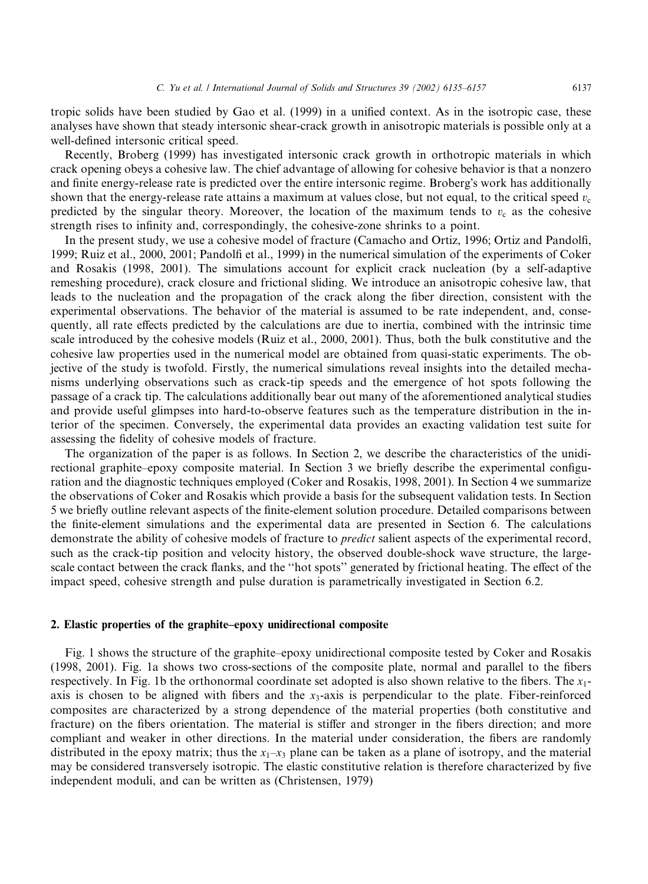tropic solids have been studied by Gao et al. (1999) in a unified context. As in the isotropic case, these analyses have shown that steady intersonic shear-crack growth in anisotropic materials is possible only at a well-defined intersonic critical speed.

Recently, Broberg (1999) has investigated intersonic crack growth in orthotropic materials in which crack opening obeys a cohesive law. The chief advantage of allowing for cohesive behavior is that a nonzero and finite energy-release rate is predicted over the entire intersonic regime. Broberg's work has additionally shown that the energy-release rate attains a maximum at values close, but not equal, to the critical speed  $v_c$ predicted by the singular theory. Moreover, the location of the maximum tends to  $v_c$  as the cohesive strength rises to infinity and, correspondingly, the cohesive-zone shrinks to a point.

In the present study, we use a cohesive model of fracture (Camacho and Ortiz, 1996; Ortiz and Pandolfi, 1999; Ruiz et al., 2000, 2001; Pandolfi et al., 1999) in the numerical simulation of the experiments of Coker and Rosakis (1998, 2001). The simulations account for explicit crack nucleation (by a self-adaptive remeshing procedure), crack closure and frictional sliding. We introduce an anisotropic cohesive law, that leads to the nucleation and the propagation of the crack along the fiber direction, consistent with the experimental observations. The behavior of the material is assumed to be rate independent, and, consequently, all rate effects predicted by the calculations are due to inertia, combined with the intrinsic time scale introduced by the cohesive models (Ruiz et al., 2000, 2001). Thus, both the bulk constitutive and the cohesive law properties used in the numerical model are obtained from quasi-static experiments. The objective of the study is twofold. Firstly, the numerical simulations reveal insights into the detailed mechanisms underlying observations such as crack-tip speeds and the emergence of hot spots following the passage of a crack tip. The calculations additionally bear out many of the aforementioned analytical studies and provide useful glimpses into hard-to-observe features such as the temperature distribution in the interior of the specimen. Conversely, the experimental data provides an exacting validation test suite for assessing the fidelity of cohesive models of fracture.

The organization of the paper is as follows. In Section 2, we describe the characteristics of the unidirectional graphite–epoxy composite material. In Section 3 we briefly describe the experimental configuration and the diagnostic techniques employed (Coker and Rosakis, 1998, 2001). In Section 4 we summarize the observations of Coker and Rosakis which provide a basis for the subsequent validation tests. In Section 5 we briefly outline relevant aspects of the finite-element solution procedure. Detailed comparisons between the finite-element simulations and the experimental data are presented in Section 6. The calculations demonstrate the ability of cohesive models of fracture to *predict* salient aspects of the experimental record, such as the crack-tip position and velocity history, the observed double-shock wave structure, the largescale contact between the crack flanks, and the ''hot spots'' generated by frictional heating. The effect of the impact speed, cohesive strength and pulse duration is parametrically investigated in Section 6.2.

#### 2. Elastic properties of the graphite–epoxy unidirectional composite

Fig. 1 shows the structure of the graphite–epoxy unidirectional composite tested by Coker and Rosakis (1998, 2001). Fig. 1a shows two cross-sections of the composite plate, normal and parallel to the fibers respectively. In Fig. 1b the orthonormal coordinate set adopted is also shown relative to the fibers. The  $x_1$ axis is chosen to be aligned with fibers and the  $x_3$ -axis is perpendicular to the plate. Fiber-reinforced composites are characterized by a strong dependence of the material properties (both constitutive and fracture) on the fibers orientation. The material is stiffer and stronger in the fibers direction; and more compliant and weaker in other directions. In the material under consideration, the fibers are randomly distributed in the epoxy matrix; thus the  $x_1-x_3$  plane can be taken as a plane of isotropy, and the material may be considered transversely isotropic. The elastic constitutive relation is therefore characterized by five independent moduli, and can be written as (Christensen, 1979)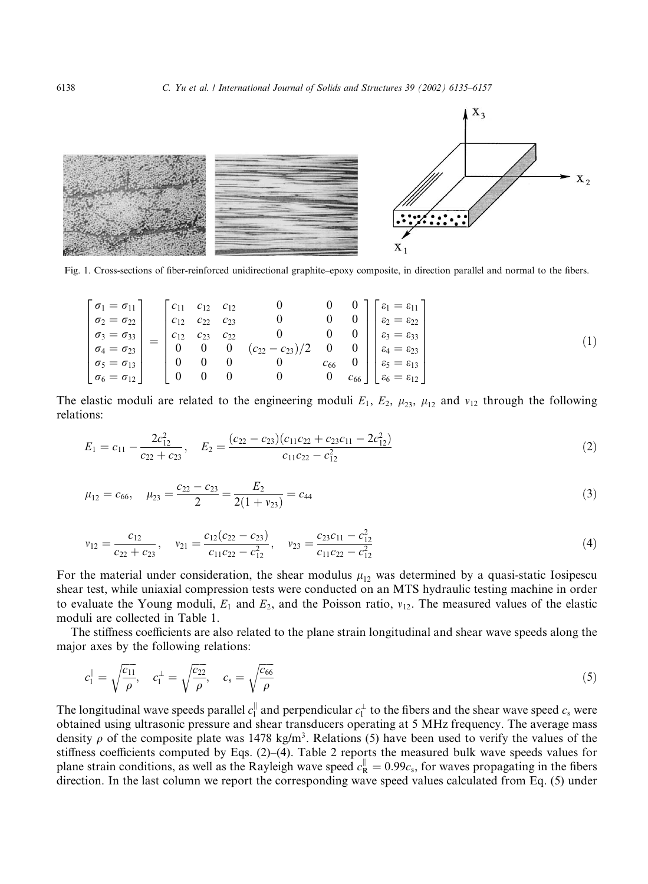

Fig. 1. Cross-sections of fiber-reinforced unidirectional graphite–epoxy composite, in direction parallel and normal to the fibers.

$$
\begin{bmatrix}\n\sigma_1 = \sigma_{11} \\
\sigma_2 = \sigma_{22} \\
\sigma_3 = \sigma_{33} \\
\sigma_4 = \sigma_{23} \\
\sigma_5 = \sigma_{13} \\
\sigma_6 = \sigma_{12}\n\end{bmatrix} = \begin{bmatrix}\nc_{11} & c_{12} & c_{12} & 0 & 0 & 0 \\
c_{12} & c_{22} & c_{23} & 0 & 0 & 0 \\
c_{12} & c_{23} & c_{22} & 0 & 0 & 0 \\
0 & 0 & 0 & (c_{22} - c_{23})/2 & 0 & 0 \\
0 & 0 & 0 & 0 & c_{66} & 0 \\
0 & 0 & 0 & 0 & 0 & c_{66}\n\end{bmatrix} \begin{bmatrix}\n\varepsilon_1 = \varepsilon_{11} \\
\varepsilon_2 = \varepsilon_{22} \\
\varepsilon_3 = \varepsilon_{33} \\
\varepsilon_4 = \varepsilon_{23} \\
\varepsilon_5 = \varepsilon_{13} \\
\varepsilon_6 = \varepsilon_{12}\n\end{bmatrix}
$$
\n(1)

The elastic moduli are related to the engineering moduli  $E_1$ ,  $E_2$ ,  $\mu_{23}$ ,  $\mu_{12}$  and  $\nu_{12}$  through the following relations:

$$
E_1 = c_{11} - \frac{2c_{12}^2}{c_{22} + c_{23}}, \quad E_2 = \frac{(c_{22} - c_{23})(c_{11}c_{22} + c_{23}c_{11} - 2c_{12}^2)}{c_{11}c_{22} - c_{12}^2}
$$
(2)

$$
\mu_{12} = c_{66}, \quad \mu_{23} = \frac{c_{22} - c_{23}}{2} = \frac{E_2}{2(1 + v_{23})} = c_{44} \tag{3}
$$

$$
v_{12} = \frac{c_{12}}{c_{22} + c_{23}}, \quad v_{21} = \frac{c_{12}(c_{22} - c_{23})}{c_{11}c_{22} - c_{12}^2}, \quad v_{23} = \frac{c_{23}c_{11} - c_{12}^2}{c_{11}c_{22} - c_{12}^2}
$$
(4)

For the material under consideration, the shear modulus  $\mu_{12}$  was determined by a quasi-static Iosipescu shear test, while uniaxial compression tests were conducted on an MTS hydraulic testing machine in order to evaluate the Young moduli,  $E_1$  and  $E_2$ , and the Poisson ratio,  $v_{12}$ . The measured values of the elastic moduli are collected in Table 1.

The stiffness coefficients are also related to the plane strain longitudinal and shear wave speeds along the major axes by the following relations:

$$
c_1^{\parallel} = \sqrt{\frac{c_{11}}{\rho}}, \quad c_1^{\perp} = \sqrt{\frac{c_{22}}{\rho}}, \quad c_s = \sqrt{\frac{c_{66}}{\rho}}
$$
 (5)

The longitudinal wave speeds parallel  $c_1^{\parallel}$  and perpendicular  $c_1^{\perp}$  to the fibers and the shear wave speed  $c_s$  were obtained using ultrasonic pressure and shear transducers operating at 5 MHz frequency. The average mass density  $\rho$  of the composite plate was 1478 kg/m<sup>3</sup>. Relations (5) have been used to verify the values of the stiffness coefficients computed by Eqs. (2)–(4). Table 2 reports the measured bulk wave speeds values for plane strain conditions, as well as the Rayleigh wave speed  $c_R^{\parallel} = 0.99c_s$ , for waves propagating in the fibers direction. In the last column we report the corresponding wave speed values calculated from Eq. (5) under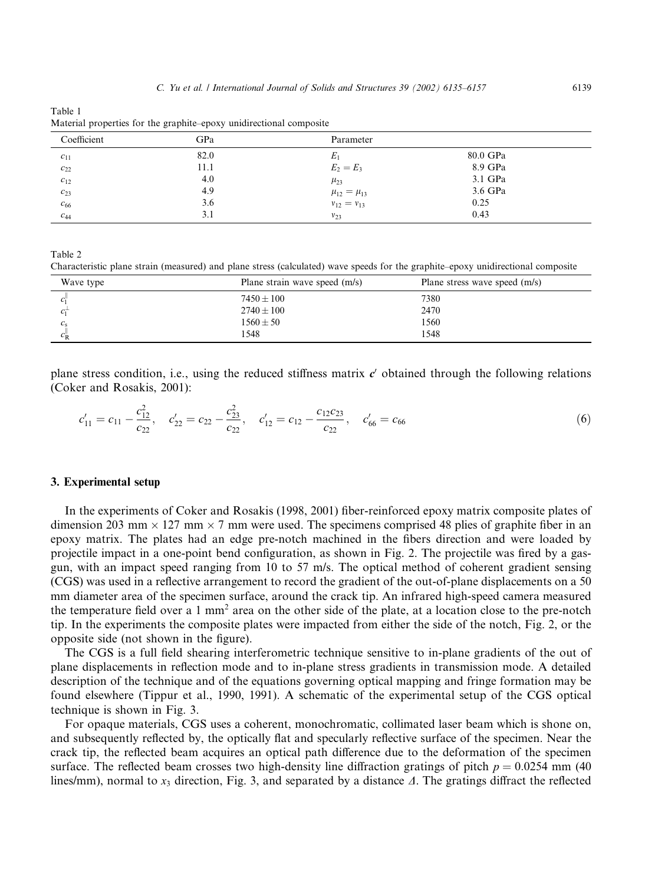| Table 1                                                             |  |
|---------------------------------------------------------------------|--|
| Material properties for the graphite–epoxy unidirectional composite |  |

| Coefficient           | GPa  | Parameter             |          |  |
|-----------------------|------|-----------------------|----------|--|
| $c_{11}$              | 82.0 | $E_1$                 | 80.0 GPa |  |
| $c_{22}$              | 11.1 | $E_2 = E_3$           | 8.9 GPa  |  |
| $c_{12}$              | 4.0  | $\mu_{23}$            | 3.1 GPa  |  |
| $c_{23}$              | 4.9  | $\mu_{12} = \mu_{13}$ | 3.6 GPa  |  |
| $\boldsymbol{c}_{66}$ | 3.6  | $v_{12} = v_{13}$     | 0.25     |  |
| $C_{44}$              | 3.1  | $v_{23}$              | 0.43     |  |

Table 2

Characteristic plane strain (measured) and plane stress (calculated) wave speeds for the graphite–epoxy unidirectional composite

| Wave type   | Plane strain wave speed (m/s) | Plane stress wave speed (m/s) |
|-------------|-------------------------------|-------------------------------|
|             | $7450 \pm 100$                | 7380                          |
|             | $2740 \pm 100$                | 2470                          |
|             | $1560 \pm 50$                 | 1560                          |
| $c_{\rm R}$ | 1548                          | 1548                          |

plane stress condition, i.e., using the reduced stiffness matrix  $c'$  obtained through the following relations (Coker and Rosakis, 2001):

$$
c'_{11} = c_{11} - \frac{c_{12}^2}{c_{22}}, \quad c'_{22} = c_{22} - \frac{c_{23}^2}{c_{22}}, \quad c'_{12} = c_{12} - \frac{c_{12}c_{23}}{c_{22}}, \quad c'_{66} = c_{66}
$$
 (6)

#### 3. Experimental setup

In the experiments of Coker and Rosakis (1998, 2001) fiber-reinforced epoxy matrix composite plates of dimension 203 mm  $\times$  127 mm  $\times$  7 mm were used. The specimens comprised 48 plies of graphite fiber in an epoxy matrix. The plates had an edge pre-notch machined in the fibers direction and were loaded by projectile impact in a one-point bend configuration, as shown in Fig. 2. The projectile was fired by a gasgun, with an impact speed ranging from 10 to 57 m/s. The optical method of coherent gradient sensing (CGS) was used in a reflective arrangement to record the gradient of the out-of-plane displacements on a 50 mm diameter area of the specimen surface, around the crack tip. An infrared high-speed camera measured the temperature field over a 1 mm<sup>2</sup> area on the other side of the plate, at a location close to the pre-notch tip. In the experiments the composite plates were impacted from either the side of the notch, Fig. 2, or the opposite side (not shown in the figure).

The CGS is a full field shearing interferometric technique sensitive to in-plane gradients of the out of plane displacements in reflection mode and to in-plane stress gradients in transmission mode. A detailed description of the technique and of the equations governing optical mapping and fringe formation may be found elsewhere (Tippur et al., 1990, 1991). A schematic of the experimental setup of the CGS optical technique is shown in Fig. 3.

For opaque materials, CGS uses a coherent, monochromatic, collimated laser beam which is shone on, and subsequently reflected by, the optically flat and specularly reflective surface of the specimen. Near the crack tip, the reflected beam acquires an optical path difference due to the deformation of the specimen surface. The reflected beam crosses two high-density line diffraction gratings of pitch  $p = 0.0254$  mm (40) lines/mm), normal to  $x_3$  direction, Fig. 3, and separated by a distance  $\Delta$ . The gratings diffract the reflected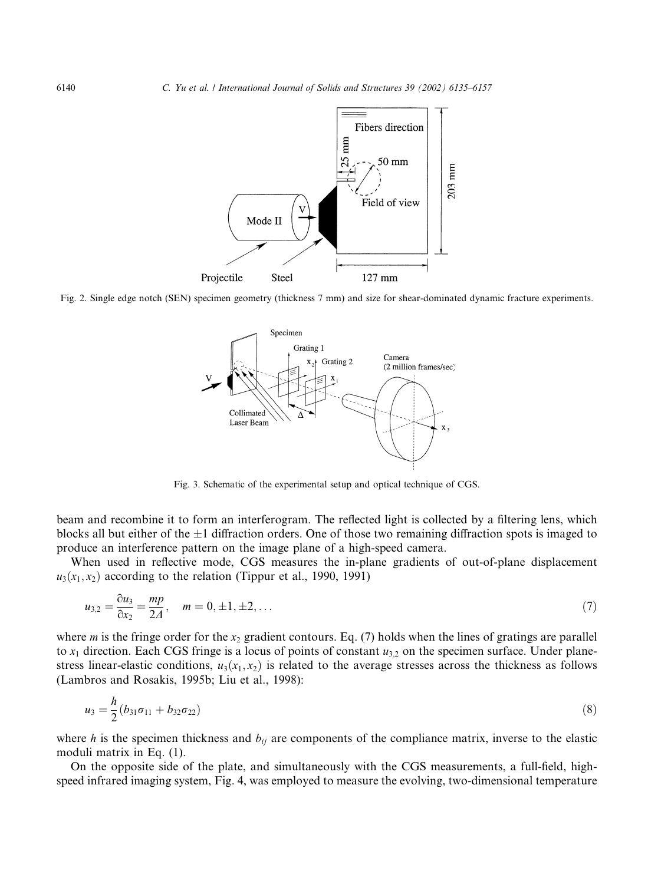

Fig. 2. Single edge notch (SEN) specimen geometry (thickness 7 mm) and size for shear-dominated dynamic fracture experiments.



Fig. 3. Schematic of the experimental setup and optical technique of CGS.

beam and recombine it to form an interferogram. The reflected light is collected by a filtering lens, which blocks all but either of the  $\pm 1$  diffraction orders. One of those two remaining diffraction spots is imaged to produce an interference pattern on the image plane of a high-speed camera.

When used in reflective mode, CGS measures the in-plane gradients of out-of-plane displacement  $u_3(x_1, x_2)$  according to the relation (Tippur et al., 1990, 1991)

$$
u_{3,2} = \frac{\partial u_3}{\partial x_2} = \frac{mp}{2A}, \quad m = 0, \pm 1, \pm 2, \dots
$$
 (7)

where *m* is the fringe order for the  $x_2$  gradient contours. Eq. (7) holds when the lines of gratings are parallel to  $x_1$  direction. Each CGS fringe is a locus of points of constant  $u_{3,2}$  on the specimen surface. Under planestress linear-elastic conditions,  $u_3(x_1, x_2)$  is related to the average stresses across the thickness as follows (Lambros and Rosakis, 1995b; Liu et al., 1998):

$$
u_3 = \frac{h}{2}(b_{31}\sigma_{11} + b_{32}\sigma_{22})
$$
\n(8)

where h is the specimen thickness and  $b_{ij}$  are components of the compliance matrix, inverse to the elastic moduli matrix in Eq. (1).

On the opposite side of the plate, and simultaneously with the CGS measurements, a full-field, highspeed infrared imaging system, Fig. 4, was employed to measure the evolving, two-dimensional temperature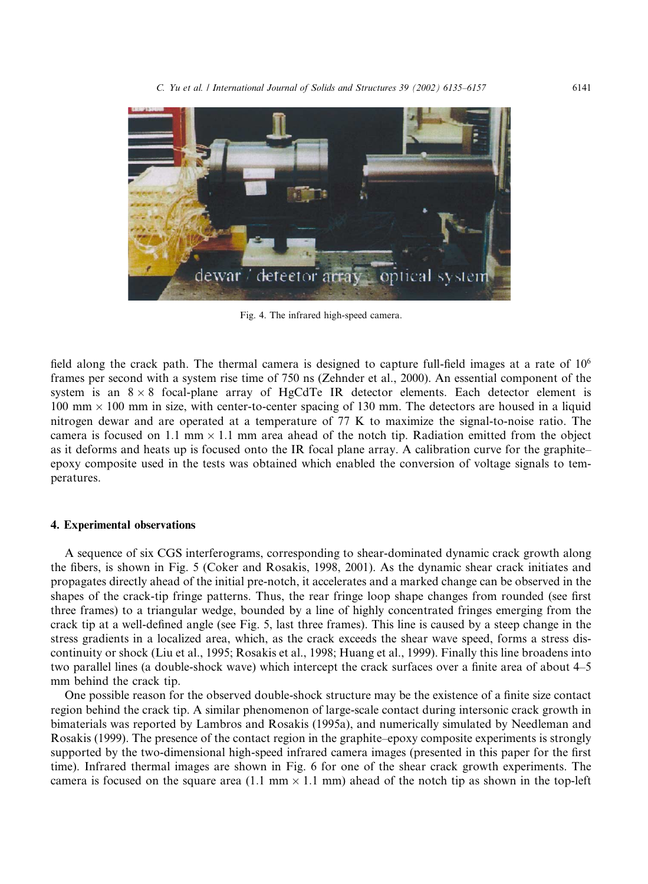

Fig. 4. The infrared high-speed camera.

field along the crack path. The thermal camera is designed to capture full-field images at a rate of 106 frames per second with a system rise time of 750 ns (Zehnder et al., 2000). An essential component of the system is an  $8 \times 8$  focal-plane array of HgCdTe IR detector elements. Each detector element is  $100 \text{ mm} \times 100 \text{ mm}$  in size, with center-to-center spacing of 130 mm. The detectors are housed in a liquid nitrogen dewar and are operated at a temperature of 77 K to maximize the signal-to-noise ratio. The camera is focused on 1.1 mm  $\times$  1.1 mm area ahead of the notch tip. Radiation emitted from the object as it deforms and heats up is focused onto the IR focal plane array. A calibration curve for the graphite– epoxy composite used in the tests was obtained which enabled the conversion of voltage signals to temperatures.

### 4. Experimental observations

A sequence of six CGS interferograms, corresponding to shear-dominated dynamic crack growth along the fibers, is shown in Fig. 5 (Coker and Rosakis, 1998, 2001). As the dynamic shear crack initiates and propagates directly ahead of the initial pre-notch, it accelerates and a marked change can be observed in the shapes of the crack-tip fringe patterns. Thus, the rear fringe loop shape changes from rounded (see first three frames) to a triangular wedge, bounded by a line of highly concentrated fringes emerging from the crack tip at a well-defined angle (see Fig. 5, last three frames). This line is caused by a steep change in the stress gradients in a localized area, which, as the crack exceeds the shear wave speed, forms a stress discontinuity or shock (Liu et al., 1995; Rosakis et al., 1998; Huang et al., 1999). Finally this line broadens into two parallel lines (a double-shock wave) which intercept the crack surfaces over a finite area of about 4–5 mm behind the crack tip.

One possible reason for the observed double-shock structure may be the existence of a finite size contact region behind the crack tip. A similar phenomenon of large-scale contact during intersonic crack growth in bimaterials was reported by Lambros and Rosakis (1995a), and numerically simulated by Needleman and Rosakis (1999). The presence of the contact region in the graphite–epoxy composite experiments is strongly supported by the two-dimensional high-speed infrared camera images (presented in this paper for the first time). Infrared thermal images are shown in Fig. 6 for one of the shear crack growth experiments. The camera is focused on the square area (1.1 mm  $\times$  1.1 mm) ahead of the notch tip as shown in the top-left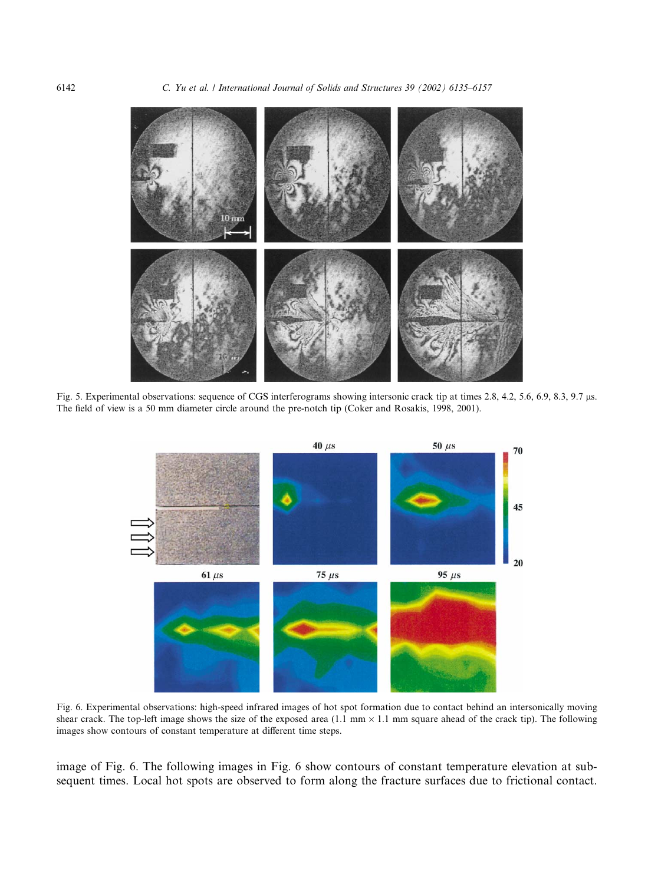

Fig. 5. Experimental observations: sequence of CGS interferograms showing intersonic crack tip at times 2.8, 4.2, 5.6, 6.9, 8.3, 9.7 ls. The field of view is a 50 mm diameter circle around the pre-notch tip (Coker and Rosakis, 1998, 2001).



Fig. 6. Experimental observations: high-speed infrared images of hot spot formation due to contact behind an intersonically moving shear crack. The top-left image shows the size of the exposed area  $(1.1 \text{ mm} \times 1.1 \text{ mm}$  square ahead of the crack tip). The following images show contours of constant temperature at different time steps.

image of Fig. 6. The following images in Fig. 6 show contours of constant temperature elevation at subsequent times. Local hot spots are observed to form along the fracture surfaces due to frictional contact.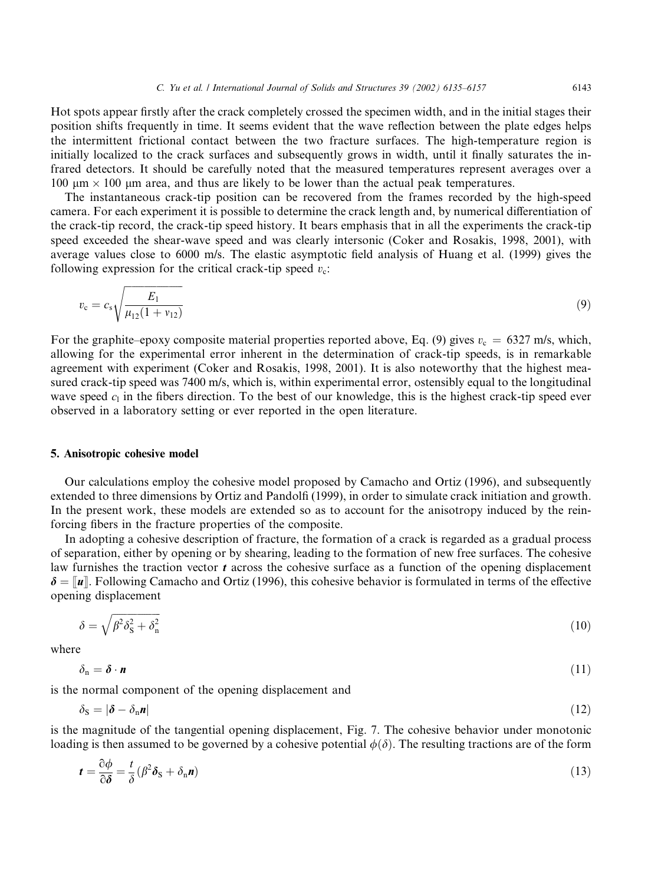Hot spots appear firstly after the crack completely crossed the specimen width, and in the initial stages their position shifts frequently in time. It seems evident that the wave reflection between the plate edges helps the intermittent frictional contact between the two fracture surfaces. The high-temperature region is initially localized to the crack surfaces and subsequently grows in width, until it finally saturates the infrared detectors. It should be carefully noted that the measured temperatures represent averages over a 100  $\mu$ m  $\times$  100  $\mu$ m area, and thus are likely to be lower than the actual peak temperatures.

The instantaneous crack-tip position can be recovered from the frames recorded by the high-speed camera. For each experiment it is possible to determine the crack length and, by numerical differentiation of the crack-tip record, the crack-tip speed history. It bears emphasis that in all the experiments the crack-tip speed exceeded the shear-wave speed and was clearly intersonic (Coker and Rosakis, 1998, 2001), with average values close to 6000 m/s. The elastic asymptotic field analysis of Huang et al. (1999) gives the following expression for the critical crack-tip speed  $v_c$ :

$$
v_{\rm c} = c_{\rm s} \sqrt{\frac{E_1}{\mu_{12}(1 + v_{12})}}
$$
\n(9)

For the graphite–epoxy composite material properties reported above, Eq. (9) gives  $v_c = 6327$  m/s, which, allowing for the experimental error inherent in the determination of crack-tip speeds, is in remarkable agreement with experiment (Coker and Rosakis, 1998, 2001). It is also noteworthy that the highest measured crack-tip speed was 7400 m/s, which is, within experimental error, ostensibly equal to the longitudinal wave speed  $c_1$  in the fibers direction. To the best of our knowledge, this is the highest crack-tip speed ever observed in a laboratory setting or ever reported in the open literature.

#### 5. Anisotropic cohesive model

Our calculations employ the cohesive model proposed by Camacho and Ortiz (1996), and subsequently extended to three dimensions by Ortiz and Pandolfi (1999), in order to simulate crack initiation and growth. In the present work, these models are extended so as to account for the anisotropy induced by the reinforcing fibers in the fracture properties of the composite.

In adopting a cohesive description of fracture, the formation of a crack is regarded as a gradual process of separation, either by opening or by shearing, leading to the formation of new free surfaces. The cohesive law furnishes the traction vector  $t$  across the cohesive surface as a function of the opening displacement  $\delta = \|\mathbf{u}\|$ . Following Camacho and Ortiz (1996), this cohesive behavior is formulated in terms of the effective opening displacement

$$
\delta = \sqrt{\beta^2 \delta_{\rm S}^2 + \delta_{\rm n}^2} \tag{10}
$$

where

$$
\delta_{\rm n} = \boldsymbol{\delta} \cdot \boldsymbol{n} \tag{11}
$$

is the normal component of the opening displacement and

$$
\delta_{\mathbf{S}} = |\boldsymbol{\delta} - \delta_{\mathbf{n}} \boldsymbol{n}| \tag{12}
$$

is the magnitude of the tangential opening displacement, Fig. 7. The cohesive behavior under monotonic loading is then assumed to be governed by a cohesive potential  $\phi(\delta)$ . The resulting tractions are of the form

$$
t = \frac{\partial \phi}{\partial \delta} = \frac{t}{\delta} (\beta^2 \delta_{\rm S} + \delta_{\rm n} n)
$$
(13)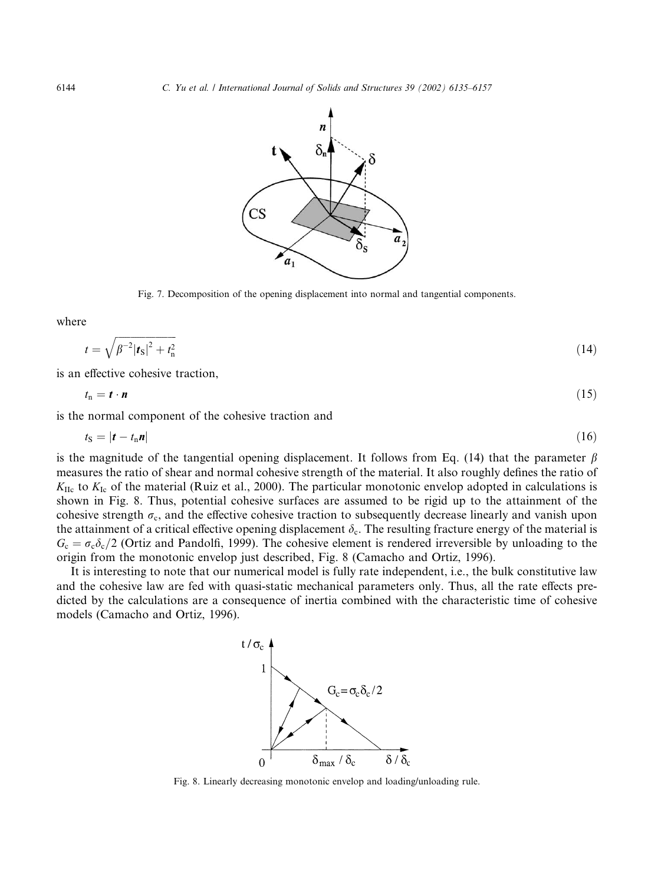

Fig. 7. Decomposition of the opening displacement into normal and tangential components.

where

$$
t = \sqrt{\beta^{-2} |\mathbf{f}_{\mathbf{S}}|^2 + t_{\mathbf{n}}^2}
$$
 (14)

is an effective cohesive traction,

$$
t_{\rm n} = t \cdot n \tag{15}
$$

is the normal component of the cohesive traction and

$$
t_{\rm S} = |\boldsymbol{t} - t_{\rm n} \boldsymbol{n}| \tag{16}
$$

is the magnitude of the tangential opening displacement. It follows from Eq. (14) that the parameter  $\beta$ measures the ratio of shear and normal cohesive strength of the material. It also roughly defines the ratio of  $K_{\text{IIc}}$  to  $K_{\text{Ic}}$  of the material (Ruiz et al., 2000). The particular monotonic envelop adopted in calculations is shown in Fig. 8. Thus, potential cohesive surfaces are assumed to be rigid up to the attainment of the cohesive strength  $\sigma_c$ , and the effective cohesive traction to subsequently decrease linearly and vanish upon the attainment of a critical effective opening displacement  $\delta_c$ . The resulting fracture energy of the material is  $G_c = \sigma_c \delta_c/2$  (Ortiz and Pandolfi, 1999). The cohesive element is rendered irreversible by unloading to the origin from the monotonic envelop just described, Fig. 8 (Camacho and Ortiz, 1996).

It is interesting to note that our numerical model is fully rate independent, i.e., the bulk constitutive law and the cohesive law are fed with quasi-static mechanical parameters only. Thus, all the rate effects predicted by the calculations are a consequence of inertia combined with the characteristic time of cohesive models (Camacho and Ortiz, 1996).



Fig. 8. Linearly decreasing monotonic envelop and loading/unloading rule.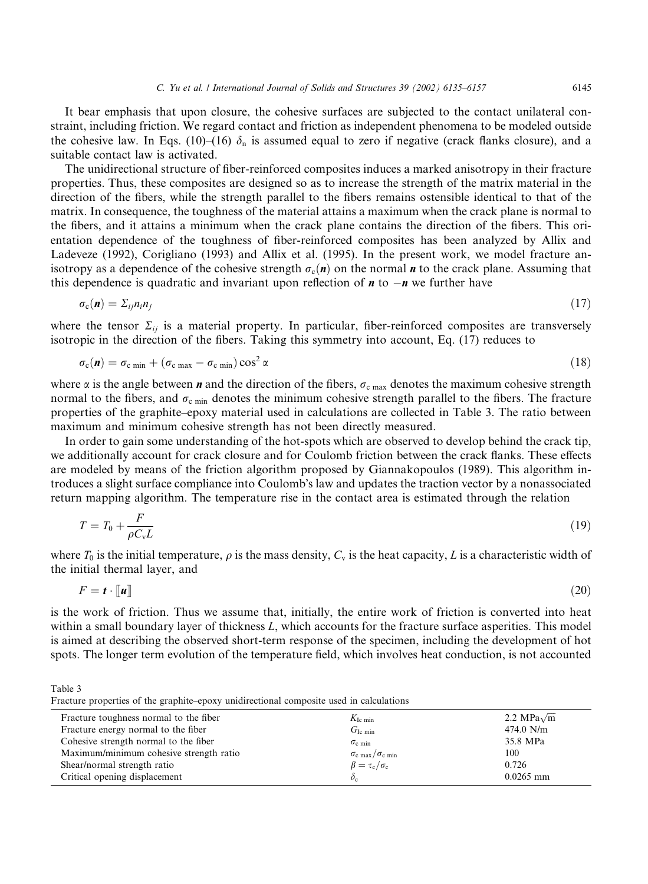It bear emphasis that upon closure, the cohesive surfaces are subjected to the contact unilateral constraint, including friction. We regard contact and friction as independent phenomena to be modeled outside the cohesive law. In Eqs. (10)–(16)  $\delta_n$  is assumed equal to zero if negative (crack flanks closure), and a suitable contact law is activated.

The unidirectional structure of fiber-reinforced composites induces a marked anisotropy in their fracture properties. Thus, these composites are designed so as to increase the strength of the matrix material in the direction of the fibers, while the strength parallel to the fibers remains ostensible identical to that of the matrix. In consequence, the toughness of the material attains a maximum when the crack plane is normal to the fibers, and it attains a minimum when the crack plane contains the direction of the fibers. This orientation dependence of the toughness of fiber-reinforced composites has been analyzed by Allix and Ladeveze (1992), Corigliano (1993) and Allix et al. (1995). In the present work, we model fracture anisotropy as a dependence of the cohesive strength  $\sigma_c(n)$  on the normal n to the crack plane. Assuming that this dependence is quadratic and invariant upon reflection of  $\boldsymbol{n}$  to  $-\boldsymbol{n}$  we further have

$$
\sigma_{\rm c}(\mathbf{n}) = \Sigma_{ij} n_i n_j \tag{17}
$$

where the tensor  $\Sigma_{ij}$  is a material property. In particular, fiber-reinforced composites are transversely isotropic in the direction of the fibers. Taking this symmetry into account, Eq. (17) reduces to

$$
\sigma_{\rm c}(\boldsymbol{n}) = \sigma_{\rm c \; min} + (\sigma_{\rm c \; max} - \sigma_{\rm c \; min}) \cos^2 \alpha \tag{18}
$$

where  $\alpha$  is the angle between n and the direction of the fibers,  $\sigma_{c \text{ max}}$  denotes the maximum cohesive strength normal to the fibers, and  $\sigma_{\text{c min}}$  denotes the minimum cohesive strength parallel to the fibers. The fracture properties of the graphite–epoxy material used in calculations are collected in Table 3. The ratio between maximum and minimum cohesive strength has not been directly measured.

In order to gain some understanding of the hot-spots which are observed to develop behind the crack tip, we additionally account for crack closure and for Coulomb friction between the crack flanks. These effects are modeled by means of the friction algorithm proposed by Giannakopoulos (1989). This algorithm introduces a slight surface compliance into Coulomb's law and updates the traction vector by a nonassociated return mapping algorithm. The temperature rise in the contact area is estimated through the relation

$$
T = T_0 + \frac{F}{\rho C_v L} \tag{19}
$$

where  $T_0$  is the initial temperature,  $\rho$  is the mass density,  $C_v$  is the heat capacity, L is a characteristic width of the initial thermal layer, and

$$
F = t \cdot \llbracket u \rrbracket \tag{20}
$$

is the work of friction. Thus we assume that, initially, the entire work of friction is converted into heat within a small boundary layer of thickness L, which accounts for the fracture surface asperities. This model is aimed at describing the observed short-term response of the specimen, including the development of hot spots. The longer term evolution of the temperature field, which involves heat conduction, is not accounted

Table 3 Fracture properties of the graphite–epoxy unidirectional composite used in calculations

| Fracture toughness normal to the fiber  | $K_{\text{Ic min}}$                           | 2.2 MPa $\sqrt{m}$ |
|-----------------------------------------|-----------------------------------------------|--------------------|
| Fracture energy normal to the fiber     | $G_{\text{Ic min}}$                           | $474.0$ N/m        |
| Cohesive strength normal to the fiber   | $\sigma_{\rm c,min}$                          | 35.8 MPa           |
| Maximum/minimum cohesive strength ratio | $\sigma_{\rm c \, max}/\sigma_{\rm c \, min}$ | 100                |
| Shear/normal strength ratio             | $\beta = \tau_c/\sigma_c$                     | 0.726              |
| Critical opening displacement           | $\mathcal{O}_c$                               | $0.0265$ mm        |
|                                         |                                               |                    |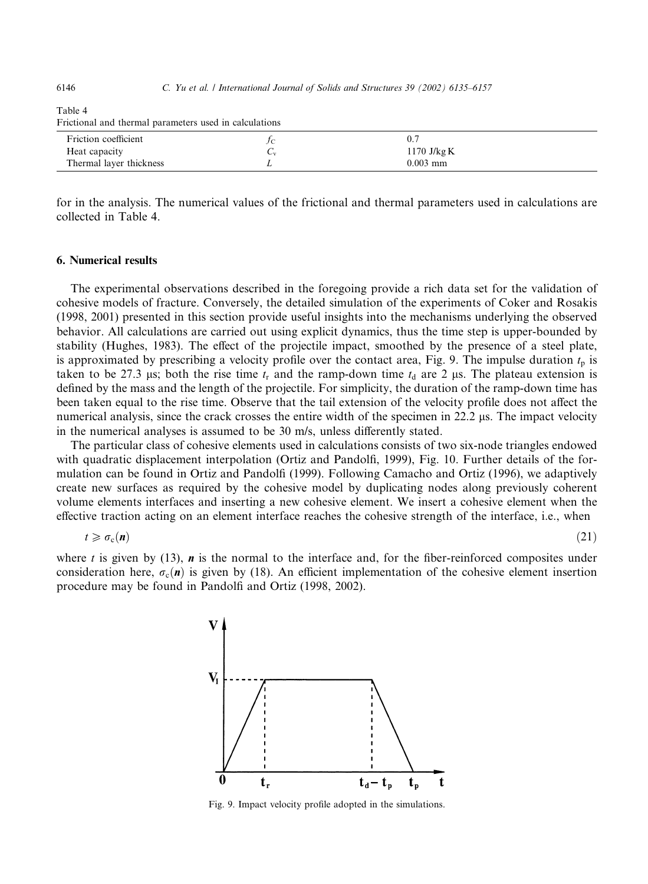6146 C. Yu et al. / International Journal of Solids and Structures 39 (2002) 6135–6157

| Frictional and thermal parameters used in calculations |  |               |  |
|--------------------------------------------------------|--|---------------|--|
| Friction coefficient                                   |  |               |  |
| Heat capacity                                          |  | 1170 J/kg $K$ |  |
| Thermal layer thickness                                |  | $0.003$ mm    |  |

Table 4 Frictional and thermal parameters used in calculations

for in the analysis. The numerical values of the frictional and thermal parameters used in calculations are collected in Table 4.

## 6. Numerical results

The experimental observations described in the foregoing provide a rich data set for the validation of cohesive models of fracture. Conversely, the detailed simulation of the experiments of Coker and Rosakis (1998, 2001) presented in this section provide useful insights into the mechanisms underlying the observed behavior. All calculations are carried out using explicit dynamics, thus the time step is upper-bounded by stability (Hughes, 1983). The effect of the projectile impact, smoothed by the presence of a steel plate, is approximated by prescribing a velocity profile over the contact area, Fig. 9. The impulse duration  $t_p$  is taken to be 27.3 us; both the rise time  $t_r$  and the ramp-down time  $t_d$  are 2 us. The plateau extension is defined by the mass and the length of the projectile. For simplicity, the duration of the ramp-down time has been taken equal to the rise time. Observe that the tail extension of the velocity profile does not affect the numerical analysis, since the crack crosses the entire width of the specimen in 22.2 µs. The impact velocity in the numerical analyses is assumed to be 30 m/s, unless differently stated.

The particular class of cohesive elements used in calculations consists of two six-node triangles endowed with quadratic displacement interpolation (Ortiz and Pandolfi, 1999), Fig. 10. Further details of the formulation can be found in Ortiz and Pandolfi (1999). Following Camacho and Ortiz (1996), we adaptively create new surfaces as required by the cohesive model by duplicating nodes along previously coherent volume elements interfaces and inserting a new cohesive element. We insert a cohesive element when the effective traction acting on an element interface reaches the cohesive strength of the interface, i.e., when

$$
t \geqslant \sigma_{\rm c}(n) \tag{21}
$$

where  $t$  is given by (13),  $\boldsymbol{n}$  is the normal to the interface and, for the fiber-reinforced composites under consideration here,  $\sigma_{\rm c}(n)$  is given by (18). An efficient implementation of the cohesive element insertion procedure may be found in Pandolfi and Ortiz (1998, 2002).



Fig. 9. Impact velocity profile adopted in the simulations.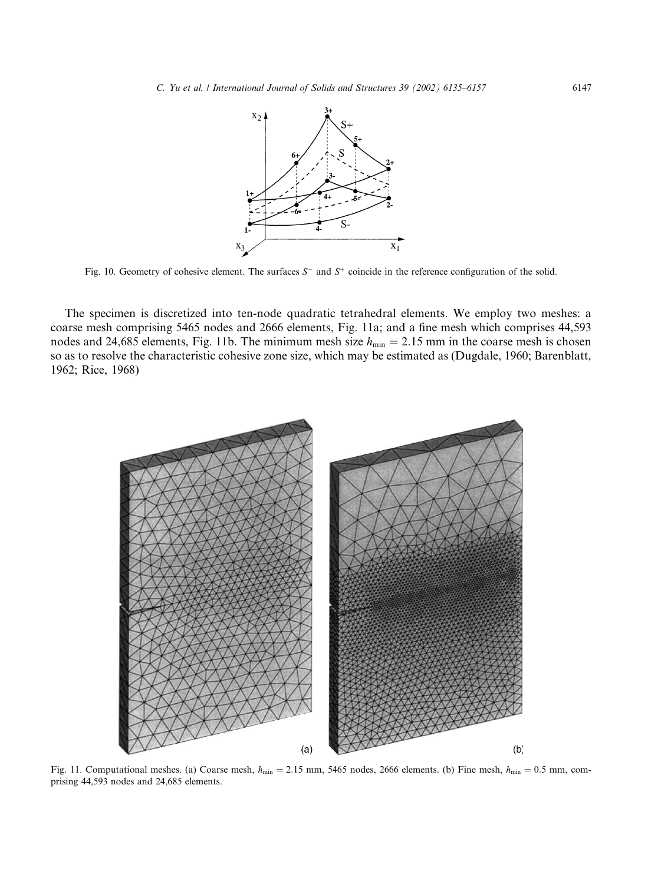

Fig. 10. Geometry of cohesive element. The surfaces  $S^-$  and  $S^+$  coincide in the reference configuration of the solid.

The specimen is discretized into ten-node quadratic tetrahedral elements. We employ two meshes: a coarse mesh comprising 5465 nodes and 2666 elements, Fig. 11a; and a fine mesh which comprises 44,593 nodes and 24,685 elements, Fig. 11b. The minimum mesh size  $h_{\min} = 2.15$  mm in the coarse mesh is chosen so as to resolve the characteristic cohesive zone size, which may be estimated as (Dugdale, 1960; Barenblatt, 1962; Rice, 1968)



Fig. 11. Computational meshes. (a) Coarse mesh,  $h_{min} = 2.15$  mm, 5465 nodes, 2666 elements. (b) Fine mesh,  $h_{min} = 0.5$  mm, comprising 44,593 nodes and 24,685 elements.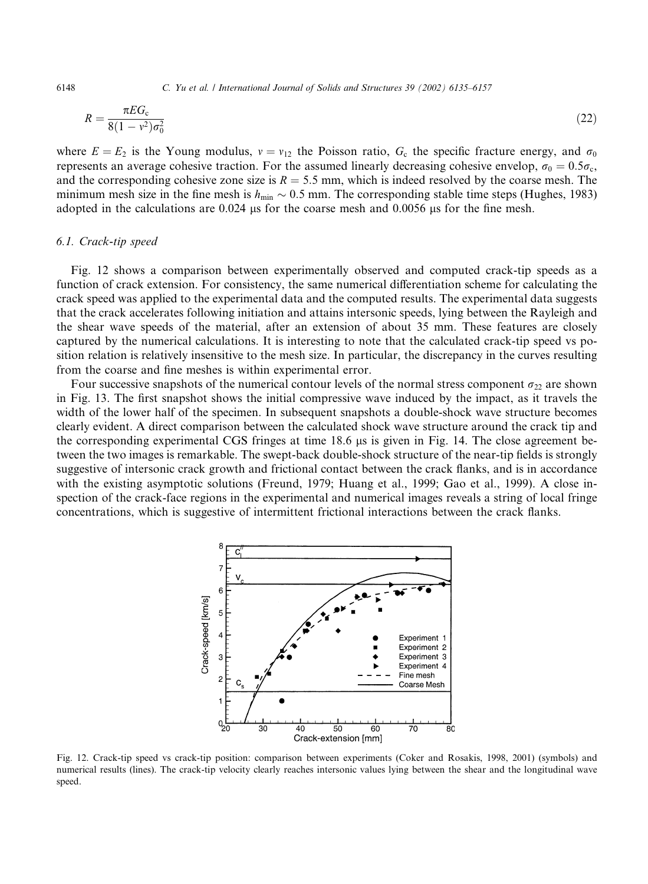6148 C. Yu et al. / International Journal of Solids and Structures 39 (2002) 6135–6157

$$
R = \frac{\pi E G_c}{8(1 - v^2)\sigma_0^2}
$$
 (22)

where  $E = E_2$  is the Young modulus,  $v = v_{12}$  the Poisson ratio,  $G_c$  the specific fracture energy, and  $\sigma_0$ represents an average cohesive traction. For the assumed linearly decreasing cohesive envelop,  $\sigma_0 = 0.5\sigma_c$ , and the corresponding cohesive zone size is  $R = 5.5$  mm, which is indeed resolved by the coarse mesh. The minimum mesh size in the fine mesh is  $h_{\text{min}} \sim 0.5$  mm. The corresponding stable time steps (Hughes, 1983) adopted in the calculations are  $0.024$  us for the coarse mesh and  $0.0056$  us for the fine mesh.

### 6.1. Crack-tip speed

Fig. 12 shows a comparison between experimentally observed and computed crack-tip speeds as a function of crack extension. For consistency, the same numerical differentiation scheme for calculating the crack speed was applied to the experimental data and the computed results. The experimental data suggests that the crack accelerates following initiation and attains intersonic speeds, lying between the Rayleigh and the shear wave speeds of the material, after an extension of about 35 mm. These features are closely captured by the numerical calculations. It is interesting to note that the calculated crack-tip speed vs position relation is relatively insensitive to the mesh size. In particular, the discrepancy in the curves resulting from the coarse and fine meshes is within experimental error.

Four successive snapshots of the numerical contour levels of the normal stress component  $\sigma_{22}$  are shown in Fig. 13. The first snapshot shows the initial compressive wave induced by the impact, as it travels the width of the lower half of the specimen. In subsequent snapshots a double-shock wave structure becomes clearly evident. A direct comparison between the calculated shock wave structure around the crack tip and the corresponding experimental CGS fringes at time  $18.6 \mu s$  is given in Fig. 14. The close agreement between the two images is remarkable. The swept-back double-shock structure of the near-tip fields is strongly suggestive of intersonic crack growth and frictional contact between the crack flanks, and is in accordance with the existing asymptotic solutions (Freund, 1979; Huang et al., 1999; Gao et al., 1999). A close inspection of the crack-face regions in the experimental and numerical images reveals a string of local fringe concentrations, which is suggestive of intermittent frictional interactions between the crack flanks.



Fig. 12. Crack-tip speed vs crack-tip position: comparison between experiments (Coker and Rosakis, 1998, 2001) (symbols) and numerical results (lines). The crack-tip velocity clearly reaches intersonic values lying between the shear and the longitudinal wave speed.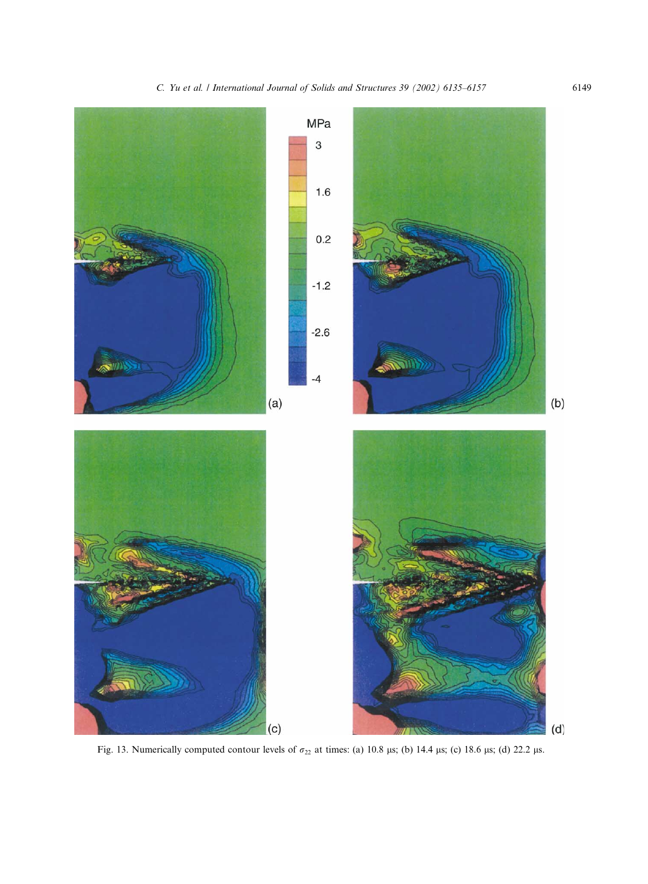

Fig. 13. Numerically computed contour levels of  $\sigma_{22}$  at times: (a) 10.8 µs; (b) 14.4 µs; (c) 18.6 µs; (d) 22.2 µs.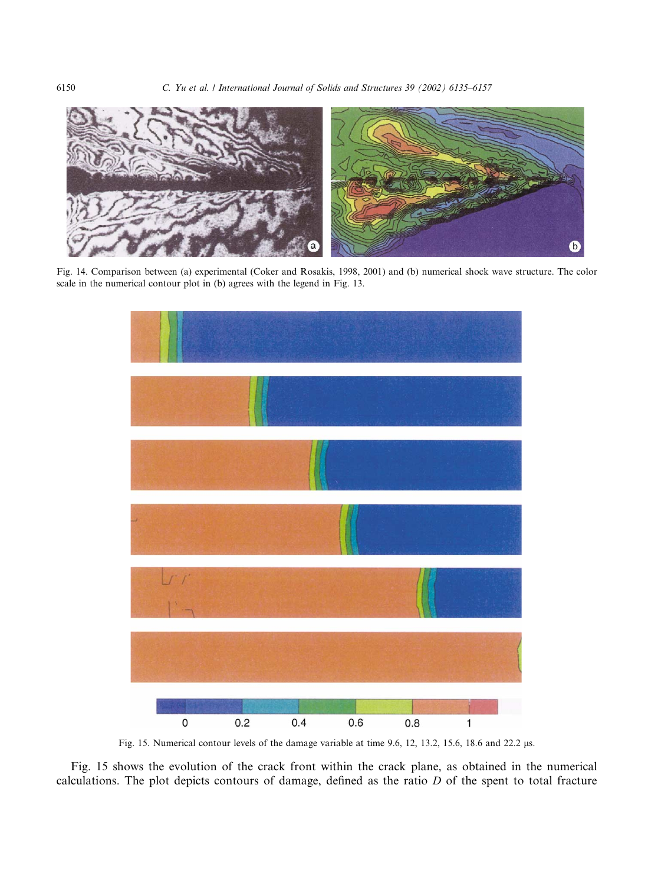

Fig. 14. Comparison between (a) experimental (Coker and Rosakis, 1998, 2001) and (b) numerical shock wave structure. The color scale in the numerical contour plot in (b) agrees with the legend in Fig. 13.



Fig. 15. Numerical contour levels of the damage variable at time 9.6, 12, 13.2, 15.6, 18.6 and 22.2 µs.

Fig. 15 shows the evolution of the crack front within the crack plane, as obtained in the numerical calculations. The plot depicts contours of damage, defined as the ratio D of the spent to total fracture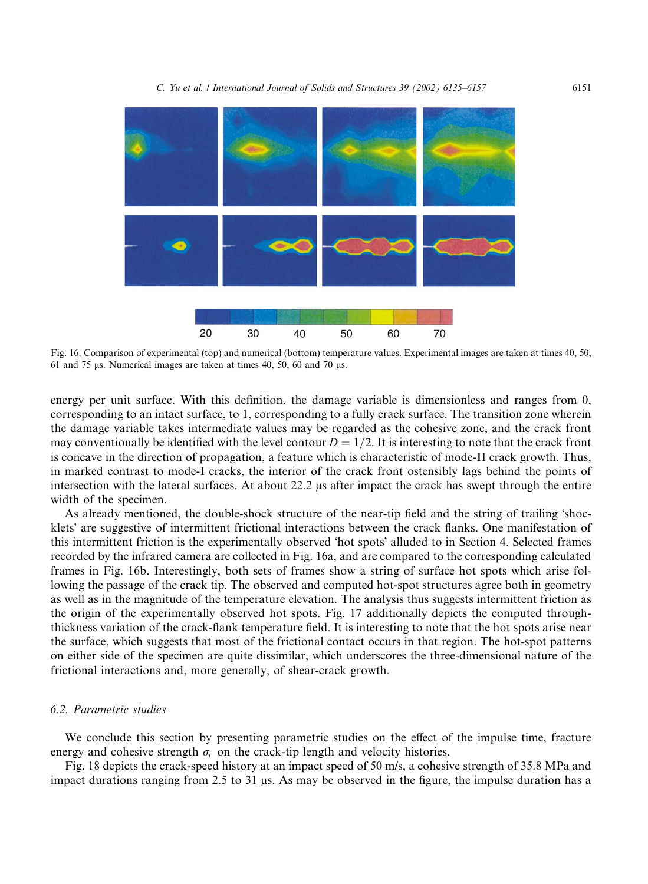

Fig. 16. Comparison of experimental (top) and numerical (bottom) temperature values. Experimental images are taken at times 40, 50, 61 and 75  $\mu$ s. Numerical images are taken at times 40, 50, 60 and 70  $\mu$ s.

energy per unit surface. With this definition, the damage variable is dimensionless and ranges from 0, corresponding to an intact surface, to 1, corresponding to a fully crack surface. The transition zone wherein the damage variable takes intermediate values may be regarded as the cohesive zone, and the crack front may conventionally be identified with the level contour  $D = 1/2$ . It is interesting to note that the crack front is concave in the direction of propagation, a feature which is characteristic of mode-II crack growth. Thus, in marked contrast to mode-I cracks, the interior of the crack front ostensibly lags behind the points of intersection with the lateral surfaces. At about  $22.2 \mu s$  after impact the crack has swept through the entire width of the specimen.

As already mentioned, the double-shock structure of the near-tip field and the string of trailing 'shocklets' are suggestive of intermittent frictional interactions between the crack flanks. One manifestation of this intermittent friction is the experimentally observed 'hot spots' alluded to in Section 4. Selected frames recorded by the infrared camera are collected in Fig. 16a, and are compared to the corresponding calculated frames in Fig. 16b. Interestingly, both sets of frames show a string of surface hot spots which arise following the passage of the crack tip. The observed and computed hot-spot structures agree both in geometry as well as in the magnitude of the temperature elevation. The analysis thus suggests intermittent friction as the origin of the experimentally observed hot spots. Fig. 17 additionally depicts the computed throughthickness variation of the crack-flank temperature field. It is interesting to note that the hot spots arise near the surface, which suggests that most of the frictional contact occurs in that region. The hot-spot patterns on either side of the specimen are quite dissimilar, which underscores the three-dimensional nature of the frictional interactions and, more generally, of shear-crack growth.

## 6.2. Parametric studies

We conclude this section by presenting parametric studies on the effect of the impulse time, fracture energy and cohesive strength  $\sigma_c$  on the crack-tip length and velocity histories.

Fig. 18 depicts the crack-speed history at an impact speed of 50 m/s, a cohesive strength of 35.8 MPa and impact durations ranging from 2.5 to 31  $\mu$ s. As may be observed in the figure, the impulse duration has a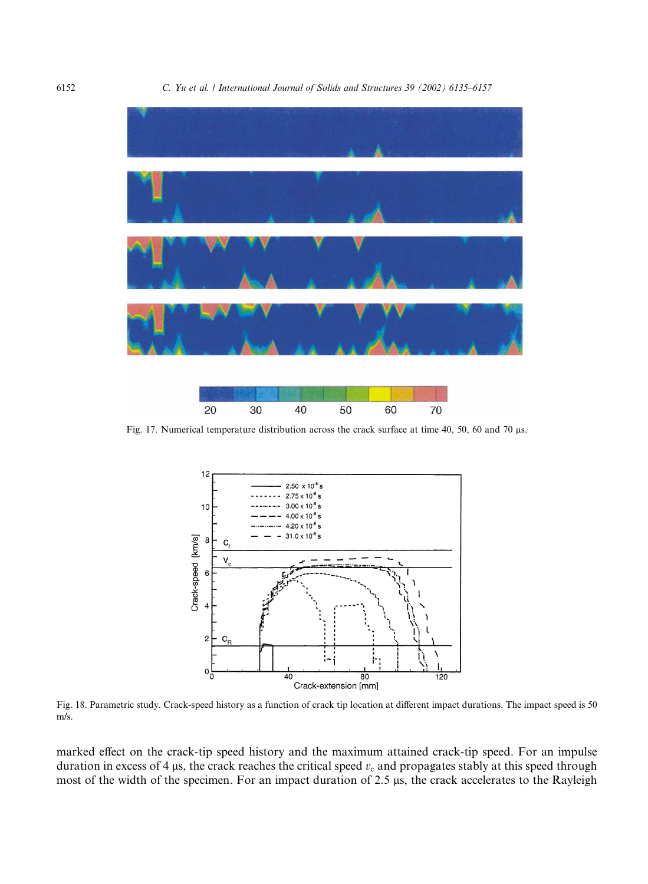

Fig. 17. Numerical temperature distribution across the crack surface at time 40, 50, 60 and 70 µs.

50

60

70

40

20

30



Fig. 18. Parametric study. Crack-speed history as a function of crack tip location at different impact durations. The impact speed is 50 m/s.

marked effect on the crack-tip speed history and the maximum attained crack-tip speed. For an impulse duration in excess of 4  $\mu$ s, the crack reaches the critical speed  $v_c$  and propagates stably at this speed through most of the width of the specimen. For an impact duration of 2.5 µs, the crack accelerates to the Rayleigh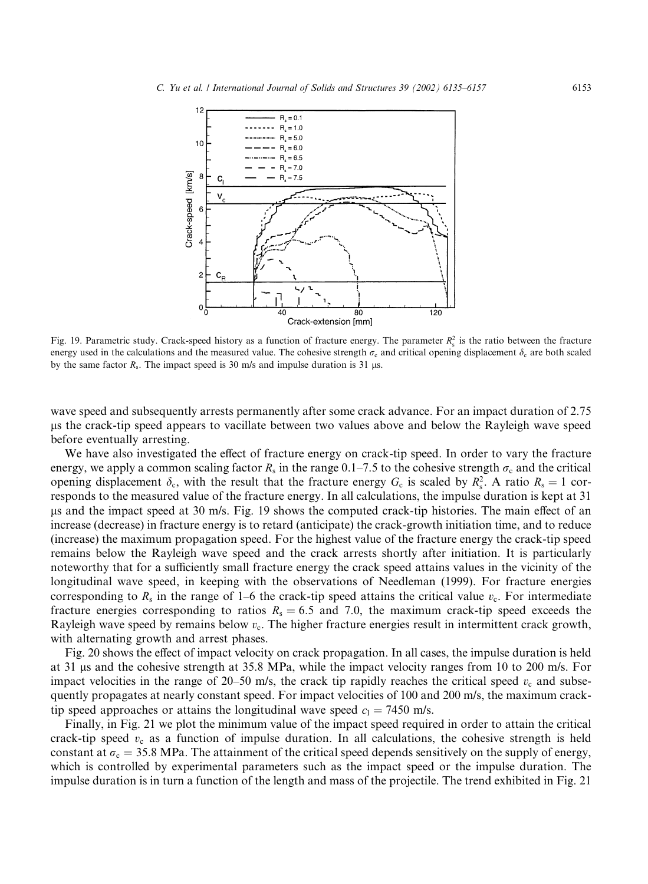

Fig. 19. Parametric study. Crack-speed history as a function of fracture energy. The parameter  $R_s^2$  is the ratio between the fracture energy used in the calculations and the measured value. The cohesive strength  $\sigma_c$  and critical opening displacement  $\delta_c$  are both scaled by the same factor  $R_s$ . The impact speed is 30 m/s and impulse duration is 31 µs.

wave speed and subsequently arrests permanently after some crack advance. For an impact duration of 2.75 ls the crack-tip speed appears to vacillate between two values above and below the Rayleigh wave speed before eventually arresting.

We have also investigated the effect of fracture energy on crack-tip speed. In order to vary the fracture energy, we apply a common scaling factor  $R_s$  in the range 0.1–7.5 to the cohesive strength  $\sigma_c$  and the critical opening displacement  $\delta_c$ , with the result that the fracture energy  $G_c$  is scaled by  $R_s^2$ . A ratio  $R_s = 1$  corresponds to the measured value of the fracture energy. In all calculations, the impulse duration is kept at 31 ls and the impact speed at 30 m/s. Fig. 19 shows the computed crack-tip histories. The main effect of an increase (decrease) in fracture energy is to retard (anticipate) the crack-growth initiation time, and to reduce (increase) the maximum propagation speed. For the highest value of the fracture energy the crack-tip speed remains below the Rayleigh wave speed and the crack arrests shortly after initiation. It is particularly noteworthy that for a sufficiently small fracture energy the crack speed attains values in the vicinity of the longitudinal wave speed, in keeping with the observations of Needleman (1999). For fracture energies corresponding to  $R_s$  in the range of 1–6 the crack-tip speed attains the critical value  $v_c$ . For intermediate fracture energies corresponding to ratios  $R_s = 6.5$  and 7.0, the maximum crack-tip speed exceeds the Rayleigh wave speed by remains below  $v_c$ . The higher fracture energies result in intermittent crack growth, with alternating growth and arrest phases.

Fig. 20 shows the effect of impact velocity on crack propagation. In all cases, the impulse duration is held at 31 ls and the cohesive strength at 35.8 MPa, while the impact velocity ranges from 10 to 200 m/s. For impact velocities in the range of 20–50 m/s, the crack tip rapidly reaches the critical speed  $v_c$  and subsequently propagates at nearly constant speed. For impact velocities of 100 and 200 m/s, the maximum cracktip speed approaches or attains the longitudinal wave speed  $c_1 = 7450$  m/s.

Finally, in Fig. 21 we plot the minimum value of the impact speed required in order to attain the critical crack-tip speed  $v_c$  as a function of impulse duration. In all calculations, the cohesive strength is held constant at  $\sigma_c = 35.8$  MPa. The attainment of the critical speed depends sensitively on the supply of energy, which is controlled by experimental parameters such as the impact speed or the impulse duration. The impulse duration is in turn a function of the length and mass of the projectile. The trend exhibited in Fig. 21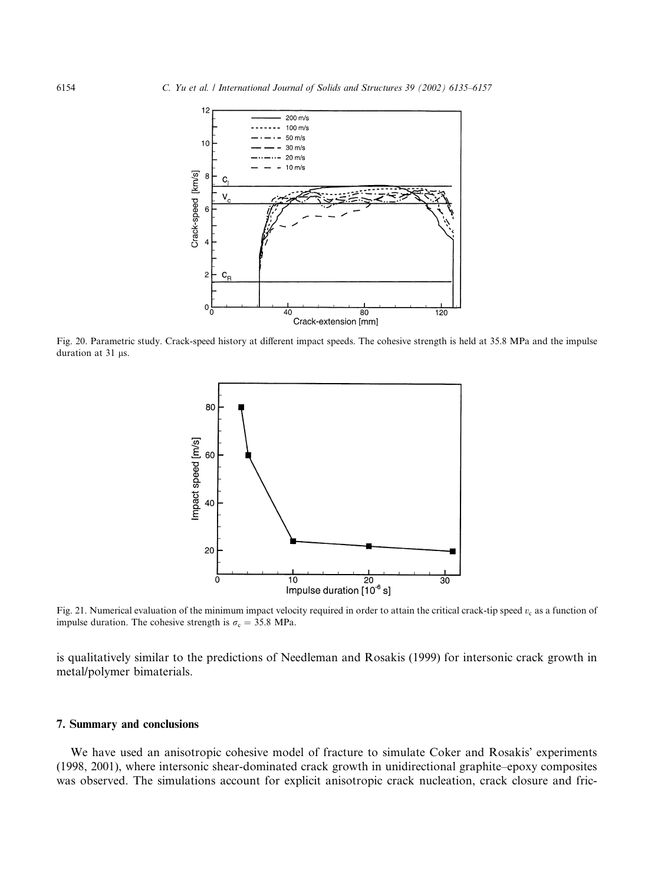

Fig. 20. Parametric study. Crack-speed history at different impact speeds. The cohesive strength is held at 35.8 MPa and the impulse duration at  $31 \mu s$ .



Fig. 21. Numerical evaluation of the minimum impact velocity required in order to attain the critical crack-tip speed  $v_c$  as a function of impulse duration. The cohesive strength is  $\sigma_c = 35.8 \text{ MPa}$ .

is qualitatively similar to the predictions of Needleman and Rosakis (1999) for intersonic crack growth in metal/polymer bimaterials.

## 7. Summary and conclusions

We have used an anisotropic cohesive model of fracture to simulate Coker and Rosakis' experiments (1998, 2001), where intersonic shear-dominated crack growth in unidirectional graphite–epoxy composites was observed. The simulations account for explicit anisotropic crack nucleation, crack closure and fric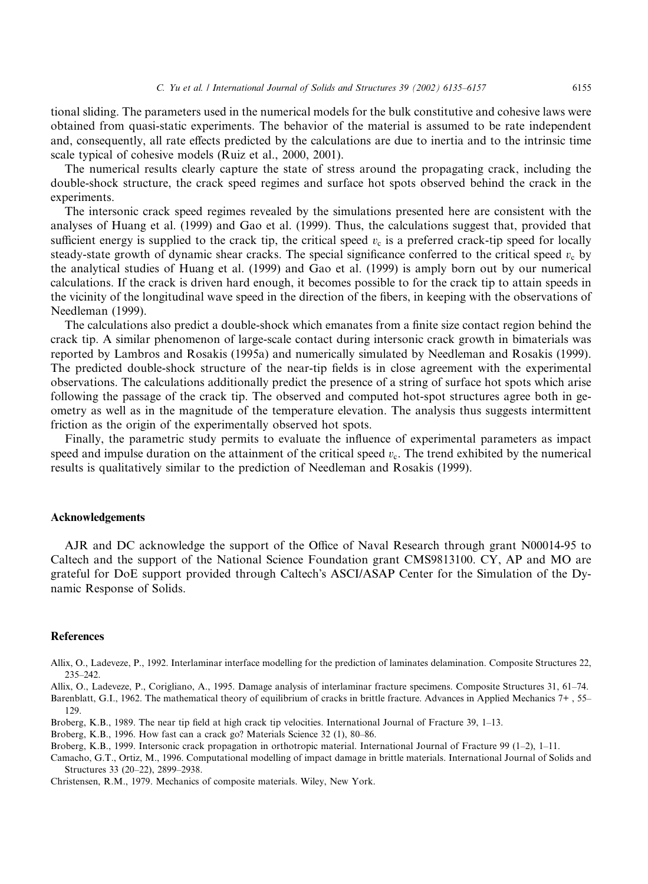tional sliding. The parameters used in the numerical models for the bulk constitutive and cohesive laws were obtained from quasi-static experiments. The behavior of the material is assumed to be rate independent and, consequently, all rate effects predicted by the calculations are due to inertia and to the intrinsic time scale typical of cohesive models (Ruiz et al., 2000, 2001).

The numerical results clearly capture the state of stress around the propagating crack, including the double-shock structure, the crack speed regimes and surface hot spots observed behind the crack in the experiments.

The intersonic crack speed regimes revealed by the simulations presented here are consistent with the analyses of Huang et al. (1999) and Gao et al. (1999). Thus, the calculations suggest that, provided that sufficient energy is supplied to the crack tip, the critical speed  $v_c$  is a preferred crack-tip speed for locally steady-state growth of dynamic shear cracks. The special significance conferred to the critical speed  $v_c$  by the analytical studies of Huang et al. (1999) and Gao et al. (1999) is amply born out by our numerical calculations. If the crack is driven hard enough, it becomes possible to for the crack tip to attain speeds in the vicinity of the longitudinal wave speed in the direction of the fibers, in keeping with the observations of Needleman (1999).

The calculations also predict a double-shock which emanates from a finite size contact region behind the crack tip. A similar phenomenon of large-scale contact during intersonic crack growth in bimaterials was reported by Lambros and Rosakis (1995a) and numerically simulated by Needleman and Rosakis (1999). The predicted double-shock structure of the near-tip fields is in close agreement with the experimental observations. The calculations additionally predict the presence of a string of surface hot spots which arise following the passage of the crack tip. The observed and computed hot-spot structures agree both in geometry as well as in the magnitude of the temperature elevation. The analysis thus suggests intermittent friction as the origin of the experimentally observed hot spots.

Finally, the parametric study permits to evaluate the influence of experimental parameters as impact speed and impulse duration on the attainment of the critical speed  $v_c$ . The trend exhibited by the numerical results is qualitatively similar to the prediction of Needleman and Rosakis (1999).

#### Acknowledgements

AJR and DC acknowledge the support of the Office of Naval Research through grant N00014-95 to Caltech and the support of the National Science Foundation grant CMS9813100. CY, AP and MOare grateful for DoE support provided through Caltech's ASCI/ASAP Center for the Simulation of the Dynamic Response of Solids.

#### **References**

129.

Allix, O., Ladeveze, P., 1992. Interlaminar interface modelling for the prediction of laminates delamination. Composite Structures 22, 235–242.

Allix, O., Ladeveze, P., Corigliano, A., 1995. Damage analysis of interlaminar fracture specimens. Composite Structures 31, 61–74. Barenblatt, G.I., 1962. The mathematical theory of equilibrium of cracks in brittle fracture. Advances in Applied Mechanics 7+ , 55–

Broberg, K.B., 1989. The near tip field at high crack tip velocities. International Journal of Fracture 39, 1–13.

Broberg, K.B., 1996. How fast can a crack go? Materials Science 32 (1), 80–86.

Broberg, K.B., 1999. Intersonic crack propagation in orthotropic material. International Journal of Fracture 99 (1–2), 1–11.

Camacho, G.T., Ortiz, M., 1996. Computational modelling of impact damage in brittle materials. International Journal of Solids and Structures 33 (20–22), 2899–2938.

Christensen, R.M., 1979. Mechanics of composite materials. Wiley, New York.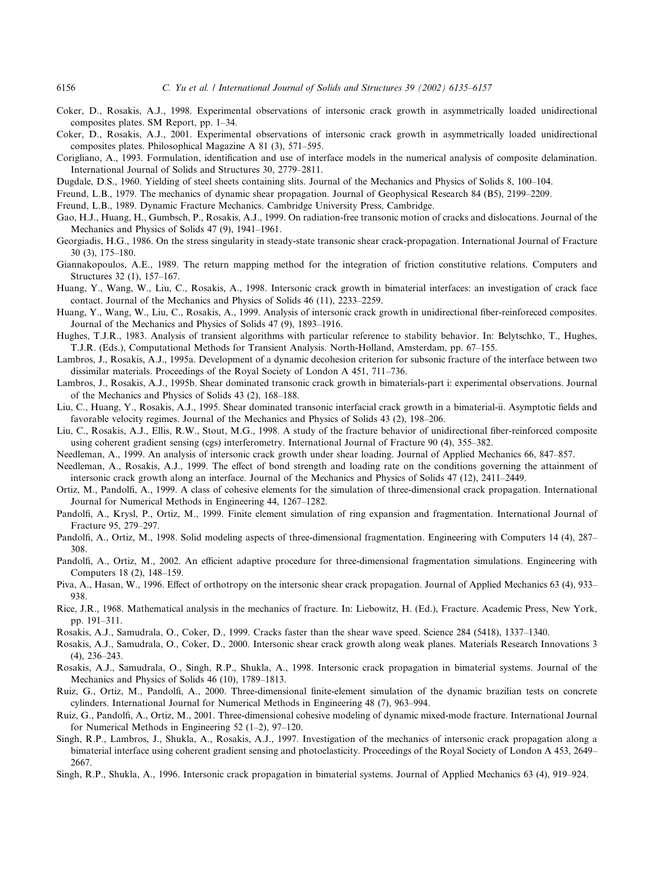- Coker, D., Rosakis, A.J., 1998. Experimental observations of intersonic crack growth in asymmetrically loaded unidirectional composites plates. SM Report, pp. 1–34.
- Coker, D., Rosakis, A.J., 2001. Experimental observations of intersonic crack growth in asymmetrically loaded unidirectional composites plates. Philosophical Magazine A 81 (3), 571–595.
- Corigliano, A., 1993. Formulation, identification and use of interface models in the numerical analysis of composite delamination. International Journal of Solids and Structures 30, 2779–2811.
- Dugdale, D.S., 1960. Yielding of steel sheets containing slits. Journal of the Mechanics and Physics of Solids 8, 100–104.
- Freund, L.B., 1979. The mechanics of dynamic shear propagation. Journal of Geophysical Research 84 (B5), 2199–2209.
- Freund, L.B., 1989. Dynamic Fracture Mechanics. Cambridge University Press, Cambridge.
- Gao, H.J., Huang, H., Gumbsch, P., Rosakis, A.J., 1999. On radiation-free transonic motion of cracks and dislocations. Journal of the Mechanics and Physics of Solids 47 (9), 1941–1961.
- Georgiadis, H.G., 1986. On the stress singularity in steady-state transonic shear crack-propagation. International Journal of Fracture 30 (3), 175–180.
- Giannakopoulos, A.E., 1989. The return mapping method for the integration of friction constitutive relations. Computers and Structures 32 (1), 157–167.
- Huang, Y., Wang, W., Liu, C., Rosakis, A., 1998. Intersonic crack growth in bimaterial interfaces: an investigation of crack face contact. Journal of the Mechanics and Physics of Solids 46 (11), 2233–2259.
- Huang, Y., Wang, W., Liu, C., Rosakis, A., 1999. Analysis of intersonic crack growth in unidirectional fiber-reinforeced composites. Journal of the Mechanics and Physics of Solids 47 (9), 1893–1916.
- Hughes, T.J.R., 1983. Analysis of transient algorithms with particular reference to stability behavior. In: Belytschko, T., Hughes, T.J.R. (Eds.), Computational Methods for Transient Analysis. North-Holland, Amsterdam, pp. 67–155.
- Lambros, J., Rosakis, A.J., 1995a. Development of a dynamic decohesion criterion for subsonic fracture of the interface between two dissimilar materials. Proceedings of the Royal Society of London A 451, 711–736.
- Lambros, J., Rosakis, A.J., 1995b. Shear dominated transonic crack growth in bimaterials-part i: experimental observations. Journal of the Mechanics and Physics of Solids 43 (2), 168–188.
- Liu, C., Huang, Y., Rosakis, A.J., 1995. Shear dominated transonic interfacial crack growth in a bimaterial-ii. Asymptotic fields and favorable velocity regimes. Journal of the Mechanics and Physics of Solids 43 (2), 198–206.
- Liu, C., Rosakis, A.J., Ellis, R.W., Stout, M.G., 1998. A study of the fracture behavior of unidirectional fiber-reinforced composite using coherent gradient sensing (cgs) interferometry. International Journal of Fracture 90 (4), 355–382.
- Needleman, A., 1999. An analysis of intersonic crack growth under shear loading. Journal of Applied Mechanics 66, 847–857.
- Needleman, A., Rosakis, A.J., 1999. The effect of bond strength and loading rate on the conditions governing the attainment of intersonic crack growth along an interface. Journal of the Mechanics and Physics of Solids 47 (12), 2411–2449.
- Ortiz, M., Pandolfi, A., 1999. A class of cohesive elements for the simulation of three-dimensional crack propagation. International Journal for Numerical Methods in Engineering 44, 1267–1282.
- Pandolfi, A., Krysl, P., Ortiz, M., 1999. Finite element simulation of ring expansion and fragmentation. International Journal of Fracture 95, 279–297.
- Pandolfi, A., Ortiz, M., 1998. Solid modeling aspects of three-dimensional fragmentation. Engineering with Computers 14 (4), 287– 308.
- Pandolfi, A., Ortiz, M., 2002. An efficient adaptive procedure for three-dimensional fragmentation simulations. Engineering with Computers 18 (2), 148–159.
- Piva, A., Hasan, W., 1996. Effect of orthotropy on the intersonic shear crack propagation. Journal of Applied Mechanics 63 (4), 933– 938.
- Rice, J.R., 1968. Mathematical analysis in the mechanics of fracture. In: Liebowitz, H. (Ed.), Fracture. Academic Press, New York, pp. 191–311.
- Rosakis, A.J., Samudrala, O., Coker, D., 1999. Cracks faster than the shear wave speed. Science 284 (5418), 1337–1340.
- Rosakis, A.J., Samudrala, O., Coker, D., 2000. Intersonic shear crack growth along weak planes. Materials Research Innovations 3 (4), 236–243.
- Rosakis, A.J., Samudrala, O., Singh, R.P., Shukla, A., 1998. Intersonic crack propagation in bimaterial systems. Journal of the Mechanics and Physics of Solids 46 (10), 1789–1813.
- Ruiz, G., Ortiz, M., Pandolfi, A., 2000. Three-dimensional finite-element simulation of the dynamic brazilian tests on concrete cylinders. International Journal for Numerical Methods in Engineering 48 (7), 963–994.
- Ruiz, G., Pandolfi, A., Ortiz, M., 2001. Three-dimensional cohesive modeling of dynamic mixed-mode fracture. International Journal for Numerical Methods in Engineering 52 (1–2), 97–120.
- Singh, R.P., Lambros, J., Shukla, A., Rosakis, A.J., 1997. Investigation of the mechanics of intersonic crack propagation along a bimaterial interface using coherent gradient sensing and photoelasticity. Proceedings of the Royal Society of London A 453, 2649– 2667.
- Singh, R.P., Shukla, A., 1996. Intersonic crack propagation in bimaterial systems. Journal of Applied Mechanics 63 (4), 919–924.